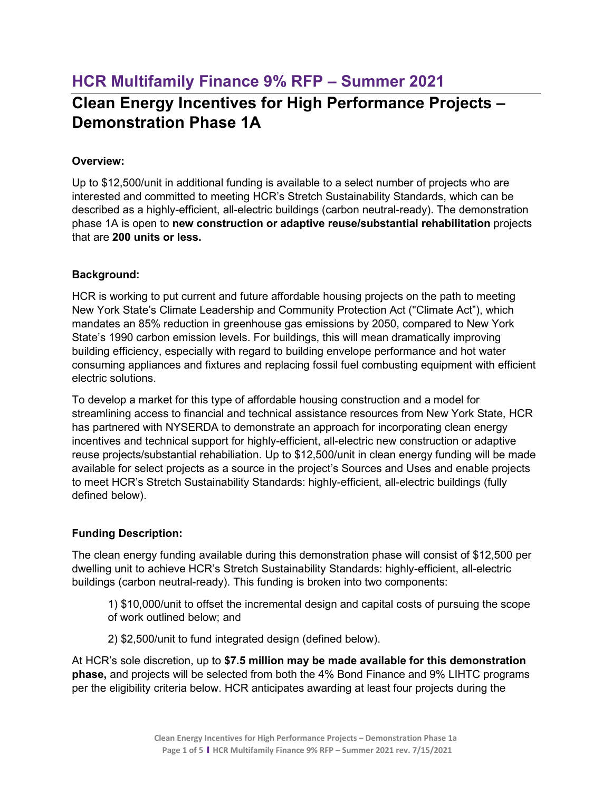# **HCR Multifamily Finance 9% RFP – Summer 2021**

# **Clean Energy Incentives for High Performance Projects – Demonstration Phase 1A**

#### **Overview:**

Up to \$12,500/unit in additional funding is available to a select number of projects who are interested and committed to meeting HCR's Stretch Sustainability Standards, which can be described as a highly-efficient, all-electric buildings (carbon neutral-ready). The demonstration phase 1A is open to **new construction or adaptive reuse/substantial rehabilitation** projects that are **200 units or less.**

#### **Background:**

HCR is working to put current and future affordable housing projects on the path to meeting New York State's Climate Leadership and Community Protection Act ("Climate Act"), which mandates an 85% reduction in greenhouse gas emissions by 2050, compared to New York State's 1990 carbon emission levels. For buildings, this will mean dramatically improving building efficiency, especially with regard to building envelope performance and hot water consuming appliances and fixtures and replacing fossil fuel combusting equipment with efficient electric solutions.

To develop a market for this type of affordable housing construction and a model for streamlining access to financial and technical assistance resources from New York State, HCR has partnered with NYSERDA to demonstrate an approach for incorporating clean energy incentives and technical support for highly-efficient, all-electric new construction or adaptive reuse projects/substantial rehabiliation. Up to \$12,500/unit in clean energy funding will be made available for select projects as a source in the project's Sources and Uses and enable projects to meet HCR's Stretch Sustainability Standards: highly-efficient, all-electric buildings (fully defined below).

## **Funding Description:**

The clean energy funding available during this demonstration phase will consist of \$12,500 per dwelling unit to achieve HCR's Stretch Sustainability Standards: highly-efficient, all-electric buildings (carbon neutral-ready). This funding is broken into two components:

1) \$10,000/unit to offset the incremental design and capital costs of pursuing the scope of work outlined below; and

2) \$2,500/unit to fund integrated design (defined below).

At HCR's sole discretion, up to **\$7.5 million may be made available for this demonstration phase,** and projects will be selected from both the 4% Bond Finance and 9% LIHTC programs per the eligibility criteria below. HCR anticipates awarding at least four projects during the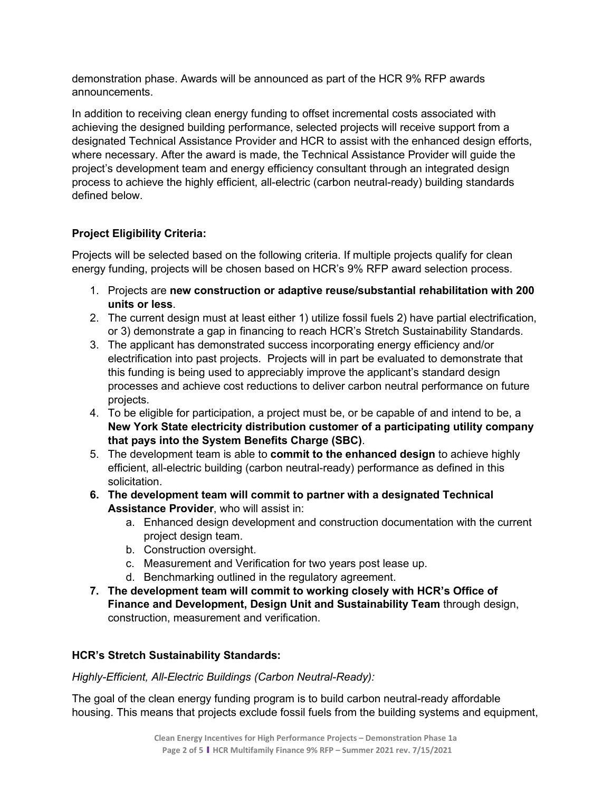demonstration phase. Awards will be announced as part of the HCR 9% RFP awards announcements.

In addition to receiving clean energy funding to offset incremental costs associated with achieving the designed building performance, selected projects will receive support from a designated Technical Assistance Provider and HCR to assist with the enhanced design efforts, where necessary. After the award is made, the Technical Assistance Provider will guide the project's development team and energy efficiency consultant through an integrated design process to achieve the highly efficient, all-electric (carbon neutral-ready) building standards defined below.

# **Project Eligibility Criteria:**

Projects will be selected based on the following criteria. If multiple projects qualify for clean energy funding, projects will be chosen based on HCR's 9% RFP award selection process.

- 1. Projects are **new construction or adaptive reuse/substantial rehabilitation with 200 units or less**.
- 2. The current design must at least either 1) utilize fossil fuels 2) have partial electrification, or 3) demonstrate a gap in financing to reach HCR's Stretch Sustainability Standards.
- 3. The applicant has demonstrated success incorporating energy efficiency and/or electrification into past projects. Projects will in part be evaluated to demonstrate that this funding is being used to appreciably improve the applicant's standard design processes and achieve cost reductions to deliver carbon neutral performance on future projects.
- 4. To be eligible for participation, a project must be, or be capable of and intend to be, a **New York State electricity distribution customer of a participating utility company that pays into the System Benefits Charge (SBC)**.
- 5. The development team is able to **commit to the enhanced design** to achieve highly efficient, all-electric building (carbon neutral-ready) performance as defined in this solicitation.
- **6. The development team will commit to partner with a designated Technical Assistance Provider**, who will assist in:
	- a. Enhanced design development and construction documentation with the current project design team.
	- b. Construction oversight.
	- c. Measurement and Verification for two years post lease up.
	- d. Benchmarking outlined in the regulatory agreement.
- **7. The development team will commit to working closely with HCR's Office of Finance and Development, Design Unit and Sustainability Team** through design, construction, measurement and verification.

## **HCR's Stretch Sustainability Standards:**

*Highly-Efficient, All-Electric Buildings (Carbon Neutral-Ready):*

The goal of the clean energy funding program is to build carbon neutral-ready affordable housing. This means that projects exclude fossil fuels from the building systems and equipment,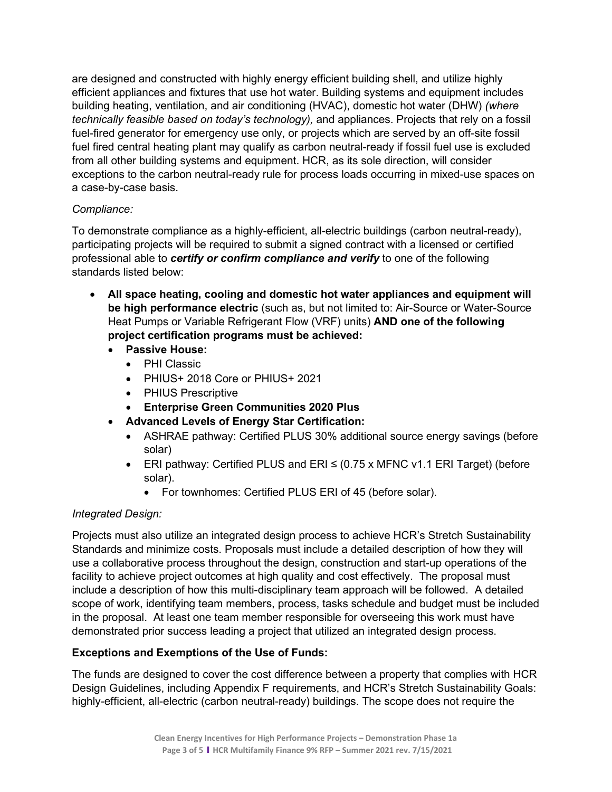are designed and constructed with highly energy efficient building shell, and utilize highly efficient appliances and fixtures that use hot water. Building systems and equipment includes building heating, ventilation, and air conditioning (HVAC), domestic hot water (DHW) *(where technically feasible based on today's technology),* and appliances. Projects that rely on a fossil fuel-fired generator for emergency use only, or projects which are served by an off-site fossil fuel fired central heating plant may qualify as carbon neutral-ready if fossil fuel use is excluded from all other building systems and equipment. HCR, as its sole direction, will consider exceptions to the carbon neutral-ready rule for process loads occurring in mixed-use spaces on a case-by-case basis.

#### *Compliance:*

To demonstrate compliance as a highly-efficient, all-electric buildings (carbon neutral-ready), participating projects will be required to submit a signed contract with a licensed or certified professional able to *certify or confirm compliance and verify* to one of the following standards listed below:

- **All space heating, cooling and domestic hot water appliances and equipment will be high performance electric** (such as, but not limited to: Air-Source or Water-Source Heat Pumps or Variable Refrigerant Flow (VRF) units) **AND one of the following project certification programs must be achieved:**
	- **Passive House:** 
		- PHI Classic
		- PHIUS+ 2018 Core or PHIUS+ 2021
		- PHIUS Prescriptive
		- **Enterprise Green Communities 2020 Plus**
	- **Advanced Levels of Energy Star Certification:** 
		- ASHRAE pathway: Certified PLUS 30% additional source energy savings (before solar)
		- ERI pathway: Certified PLUS and ERI ≤ (0.75 x MFNC v1.1 ERI Target) (before solar).
			- For townhomes: Certified PLUS ERI of 45 (before solar).

# *Integrated Design:*

Projects must also utilize an integrated design process to achieve HCR's Stretch Sustainability Standards and minimize costs. Proposals must include a detailed description of how they will use a collaborative process throughout the design, construction and start-up operations of the facility to achieve project outcomes at high quality and cost effectively. The proposal must include a description of how this multi-disciplinary team approach will be followed. A detailed scope of work, identifying team members, process, tasks schedule and budget must be included in the proposal. At least one team member responsible for overseeing this work must have demonstrated prior success leading a project that utilized an integrated design process.

## **Exceptions and Exemptions of the Use of Funds:**

The funds are designed to cover the cost difference between a property that complies with HCR Design Guidelines, including Appendix F requirements, and HCR's Stretch Sustainability Goals: highly-efficient, all-electric (carbon neutral-ready) buildings. The scope does not require the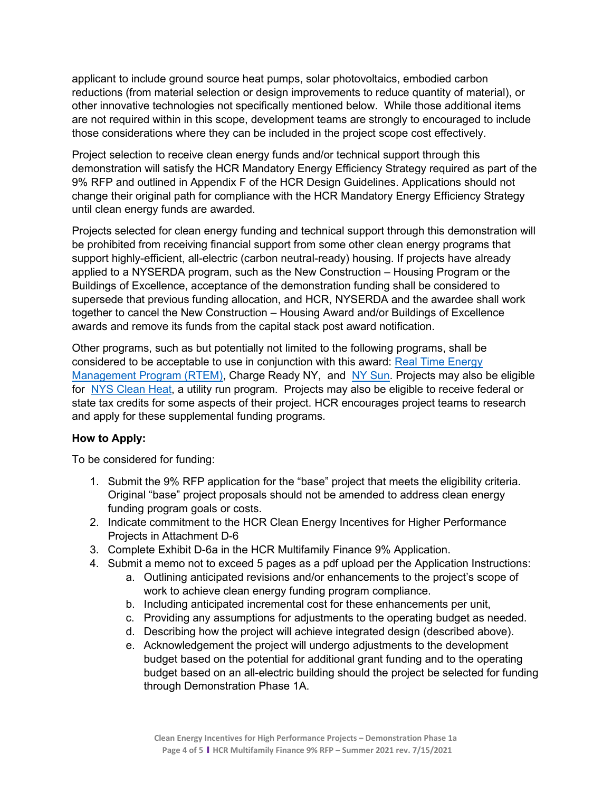applicant to include ground source heat pumps, solar photovoltaics, embodied carbon reductions (from material selection or design improvements to reduce quantity of material), or other innovative technologies not specifically mentioned below. While those additional items are not required within in this scope, development teams are strongly to encouraged to include those considerations where they can be included in the project scope cost effectively.

Project selection to receive clean energy funds and/or technical support through this demonstration will satisfy the HCR Mandatory Energy Efficiency Strategy required as part of the 9% RFP and outlined in Appendix F of the HCR Design Guidelines. Applications should not change their original path for compliance with the HCR Mandatory Energy Efficiency Strategy until clean energy funds are awarded.

Projects selected for clean energy funding and technical support through this demonstration will be prohibited from receiving financial support from some other clean energy programs that support highly-efficient, all-electric (carbon neutral-ready) housing. If projects have already applied to a NYSERDA program, such as the New Construction – Housing Program or the Buildings of Excellence, acceptance of the demonstration funding shall be considered to supersede that previous funding allocation, and HCR, NYSERDA and the awardee shall work together to cancel the New Construction – Housing Award and/or Buildings of Excellence awards and remove its funds from the capital stack post award notification.

Other programs, such as but potentially not limited to the following programs, shall be considered to be acceptable to use in conjunction with this award: [Real Time Energy](https://www.nyserda.ny.gov/all-programs/programs/real-time-energy-management)  [Management Program \(RTEM\),](https://www.nyserda.ny.gov/all-programs/programs/real-time-energy-management) Charge Ready NY, and [NY Sun.](https://www.nyserda.ny.gov/all-programs/programs/ny-sun) Projects may also be eligible for [NYS Clean Heat,](https://www.nyserda.ny.gov/All-Programs/Programs/Heat-Pump-Program) a utility run program. Projects may also be eligible to receive federal or state tax credits for some aspects of their project. HCR encourages project teams to research and apply for these supplemental funding programs.

#### **How to Apply:**

To be considered for funding:

- 1. Submit the 9% RFP application for the "base" project that meets the eligibility criteria. Original "base" project proposals should not be amended to address clean energy funding program goals or costs.
- 2. Indicate commitment to the HCR Clean Energy Incentives for Higher Performance Projects in Attachment D-6
- 3. Complete Exhibit D-6a in the HCR Multifamily Finance 9% Application.
- 4. Submit a memo not to exceed 5 pages as a pdf upload per the Application Instructions:
	- a. Outlining anticipated revisions and/or enhancements to the project's scope of work to achieve clean energy funding program compliance.
	- b. Including anticipated incremental cost for these enhancements per unit,
	- c. Providing any assumptions for adjustments to the operating budget as needed.
	- d. Describing how the project will achieve integrated design (described above).
	- e. Acknowledgement the project will undergo adjustments to the development budget based on the potential for additional grant funding and to the operating budget based on an all-electric building should the project be selected for funding through Demonstration Phase 1A.